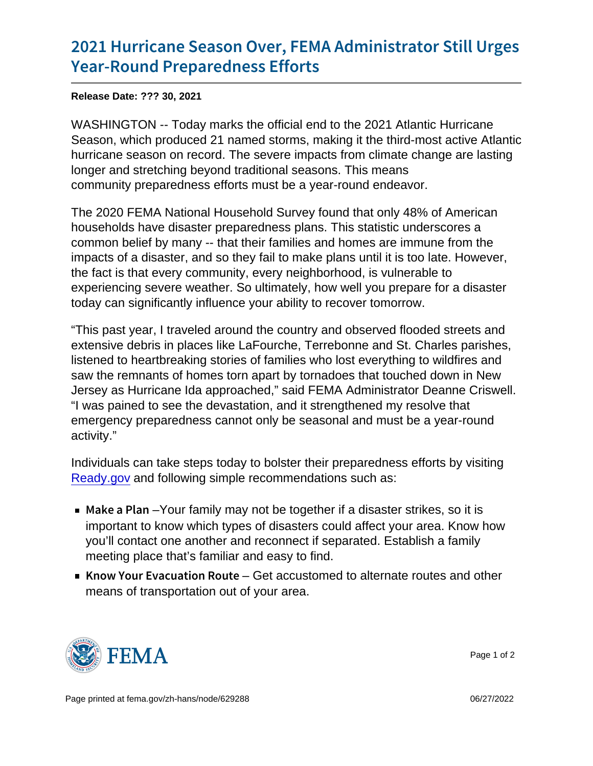## [2021 Hurricane Season Over, FEMA](https://www.fema.gov/press-release/20211130/2021-hurricane-season-over-fema-administrator-still-urges-year-round) Admin [Year-Round Prepare](https://www.fema.gov/press-release/20211130/2021-hurricane-season-over-fema-administrator-still-urges-year-round)dness Efforts

Release Date: ??? 30, 2021

WASHINGTON -- Today marks the official end to the 2021 Atlantic Hurricane Season, which produced 21 named storms, making it the third-most active Atlantic hurricane season on record. The severe impacts from climate change are lasting longer and stretching beyond traditional seasons. This means community preparedness efforts must be a year-round endeavor.

The 2020 FEMA National Household Survey found that only 48% of American households have disaster preparedness plans. This statistic underscores a common belief by many -- that their families and homes are immune from the impacts of a disaster, and so they fail to make plans until it is too late. However, the fact is that every community, every neighborhood, is vulnerable to experiencing severe weather. So ultimately, how well you prepare for a disaster today can significantly influence your ability to recover tomorrow.

"This past year, I traveled around the country and observed flooded streets and extensive debris in places like LaFourche, Terrebonne and St. Charles parishes, listened to heartbreaking stories of families who lost everything to wildfires and saw the remnants of homes torn apart by tornadoes that touched down in New Jersey as Hurricane Ida approached," said FEMA Administrator Deanne Criswell. "I was pained to see the devastation, and it strengthened my resolve that emergency preparedness cannot only be seasonal and must be a year-round activity."

Individuals can take steps today to bolster their preparedness efforts by visiting [Ready.gov](https://www.ready.gov/) and following simple recommendations such as:

- $\blacksquare$  Make a -PY barm family may not be together if a disaster strikes, so it is important to know which types of disasters could affect your area. Know how you'll contact one another and reconnect if separated. Establish a family meeting place that's familiar and easy to find.
- Know Your EvacuatGetracoRustom the deternate routes and other means of transportation out of your area.



Page 1 of 2

Page printed at [fema.gov/zh-hans/node/629288](https://www.fema.gov/zh-hans/node/629288) 06/27/2022